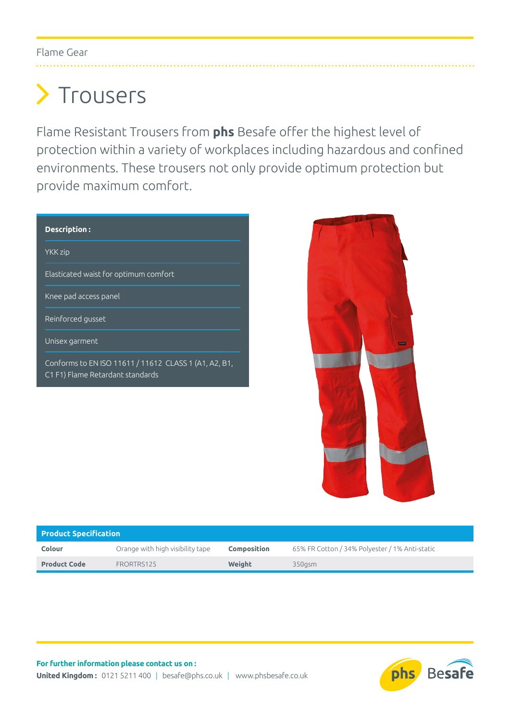## Flame Gear

## > Trousers

Flame Resistant Trousers from **phs** Besafe offer the highest level of protection within a variety of workplaces including hazardous and confined environments. These trousers not only provide optimum protection but provide maximum comfort.

| Description:                                                                              |  |  |  |  |  |  |  |
|-------------------------------------------------------------------------------------------|--|--|--|--|--|--|--|
| YKK zip                                                                                   |  |  |  |  |  |  |  |
| Elasticated waist for optimum comfort                                                     |  |  |  |  |  |  |  |
| Knee pad access panel                                                                     |  |  |  |  |  |  |  |
| Reinforced gusset                                                                         |  |  |  |  |  |  |  |
| Unisex garment                                                                            |  |  |  |  |  |  |  |
| Conforms to EN ISO 11611 / 11612 CLASS 1 (A1, A2, B1,<br>C1 F1) Flame Retardant standards |  |  |  |  |  |  |  |
|                                                                                           |  |  |  |  |  |  |  |



| <b>Product Specification</b> |                                  |                    |                                                |  |  |  |  |  |
|------------------------------|----------------------------------|--------------------|------------------------------------------------|--|--|--|--|--|
| Colour                       | Orange with high visibility tape | <b>Composition</b> | 65% FR Cotton / 34% Polyester / 1% Anti-static |  |  |  |  |  |
| <b>Product Code</b>          | FRORTRS125                       | Weight             | 350asm                                         |  |  |  |  |  |